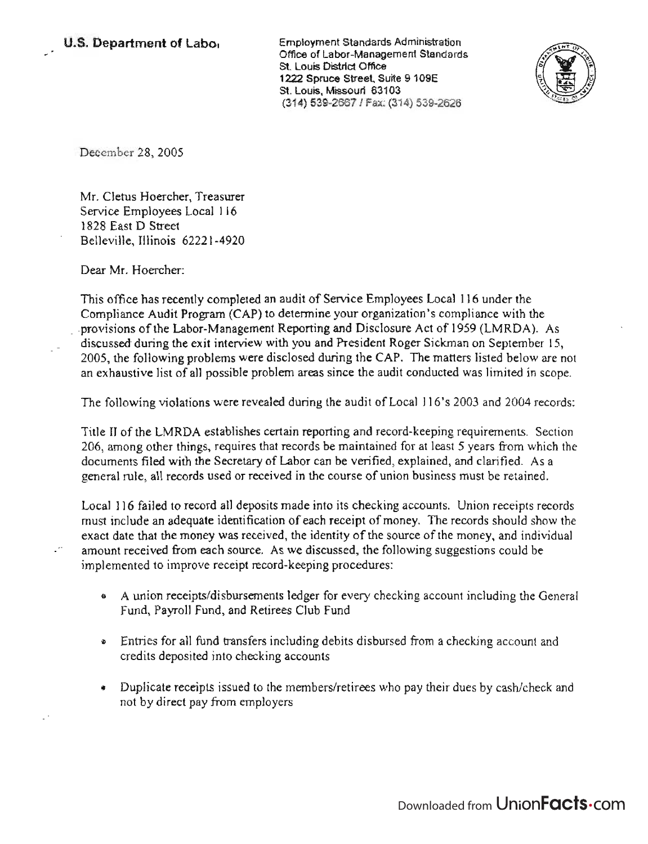Employment Standards Administration nployment Standards Administration<br>... Office of Labor-Management Standards St. Louis District Office 1222 Spruce Street, Suite 9 109E St. Louis, Missouri 63103<br>(314) 539-2667 / Fax: (314) 539-2626



December 28, 2005

Mr. Cletus Hoercher, Treasurer Service Employees Local 116 1828 East D Street Belleville, Illinois 62221-4920

Dear Mr. Hoercher:

This office has recently completed an audit of Service Employees Local 116 under the  $\sum_{n=1}^{\infty}$  Completed an audit of Service Employees Local Tro under the Compliance Audit Program (CAP) to determine your organization's compliance with the<br>messions of the Labor-Management Reporting and Disclosure Act of 1959 (LMRDA). As provisions of the Labor-Management Reporting and Disclosure Act of 1959 (LMRDA). As discussed during the exit interview with you and President Roger Sickman on September 15,  $200$  during the exit interview with you and riestdent roger stekinal off september 15, bus, the following problems were disclosed during the CAP. The matters fisted below are not

The following violations were revealed during the audit of Local 116's 2003 and 2004 records:

Title 11 of the LMRDA establishes certain reporting and record-keeping requirements. Section 206, among other things, requires that records be maintained for at least 5 years from which the documents filed with the Secretary of Labor can be verified, explained, and clarified. As a general rule, aU records used or received in the course of union business must be retained.

Local 116 failed to record all deposits made into its checking accounts. Union receipts records must include an adequate identification of each receipt of money. The records should show the exact date that the money was received, the identity of the source of the money, and individual amount received from each source. As we discussed, the following suggestions could be implemented to improve receipt record-keeping procedures:

- A union receipts/disbursements ledger for every checking account including the General Fund, Payroll Fund, and Retirees Club Fund
- Entries for all fund transfers including debits disbursed from a checking account and credits deposited into checking accounts
- Duplicate receipts issued to the members/retirees who pay their dues by cash/check and not by direct pay from employers